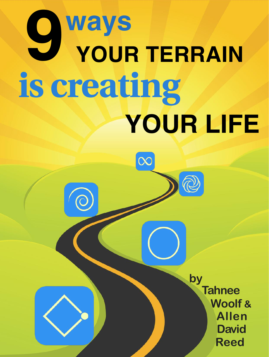# **ways YOUR LIFE is creating 9 YOUR TERRAIN**

**Reed Tahnee Woolf & by Allen David**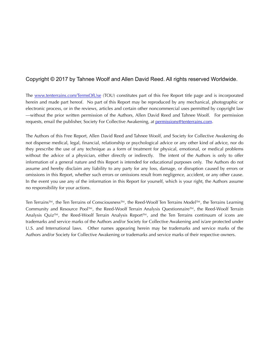#### Copyright © 2017 by Tahnee Woolf and Allen David Reed. All rights reserved Worldwide.

The [www.tenterrains.com/TermsOfUse](http://www.tenterrains.com/TermsOfUse) (TOU) constitutes part of this Fee Report title page and is incorporated herein and made part hereof. No part of this Report may be reproduced by any mechanical, photographic or electronic process, or in the reviews, articles and certain other noncommercial uses permitted by copyright law —without the prior written permission of the Authors, Allen David Reed and Tahnee Woolf. For permission requests, email the publisher, Society For Collective Awakening, at [permissions@tenterrains.com](mailto:permissions@tenterrains.com).

The Authors of this Free Report, Allen David Reed and Tahnee Woolf, and Society for Collective Awakening do not dispense medical, legal, financial, relationship or psychological advice or any other kind of advice, nor do they prescribe the use of any technique as a form of treatment for physical, emotional, or medical problems without the advice of a physician, either directly or indirectly. The intent of the Authors is only to offer information of a general nature and this Report is intended for educational purposes only. The Authors do not assume and hereby disclaim any liability to any party for any loss, damage, or disruption caused by errors or omissions in this Report, whether such errors or omissions result from negligence, accident, or any other cause. In the event you use any of the information in this Report for yourself, which is your right, the Authors assume no responsibility for your actions.

Ten Terrains™, the Ten Terrains of Consciousness™, the Reed-Woolf Ten Terrains Model™, the Terrains Learning Community and Resource Pool™, the Reed-Woolf Terrain Analysis Questionnaire™, the Reed-Woolf Terrain Analysis Quiz™, the Reed-Woolf Terrain Analysis Report™, and the Ten Terrains continuum of icons are trademarks and service marks of the Authors and/or Society for Collective Awakening and is/are protected under U.S. and International laws. Other names appearing herein may be trademarks and service marks of the Authors and/or Society for Collective Awakening or trademarks and service marks of their respective owners.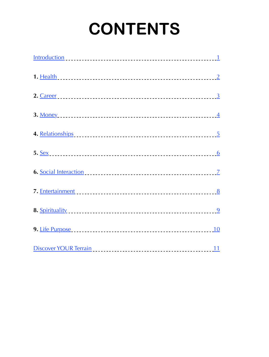# **CONTENTS**

| Discover YOUR Terrain | 11 |
|-----------------------|----|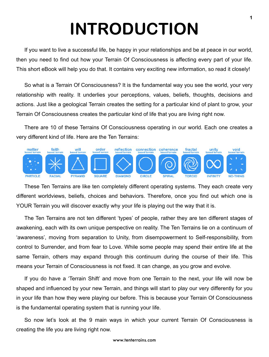# **INTRODUCTION**

<span id="page-3-0"></span>If you want to live a successful life, be happy in your relationships and be at peace in our world, then you need to find out how your Terrain Of Consciousness is affecting every part of your life. This short eBook will help you do that. It contains very exciting new information, so read it closely!

So what is a Terrain Of Consciousness? It is the fundamental way you see the world, your very relationship with reality. It underlies your perceptions, values, beliefs, thoughts, decisions and actions. Just like a geological Terrain creates the setting for a particular kind of plant to grow, your Terrain Of Consciousness creates the particular kind of life that you are living right now.

There are 10 of these Terrains Of Consciousness operating in our world. Each one creates a very different kind of life. Here are the Ten Terrains:



These Ten Terrains are like ten completely different operating systems. They each create very different worldviews, beliefs, choices and behaviors. Therefore, once you find out which one is YOUR Terrain you will discover exactly why your life is playing out the way that it is.

The Ten Terrains are not ten different 'types' of people, rather they are ten different stages of awakening, each with its own unique perspective on reality. The Ten Terrains lie on a continuum of 'awareness', moving from separation to Unity, from disempowerment to Self-responsibility, from control to Surrender, and from fear to Love. While some people may spend their entire life at the same Terrain, others may expand through this continuum during the course of their life. This means your Terrain of Consciousness is not fixed. It can change, as you grow and evolve.

If you do have a 'Terrain Shift' and move from one Terrain to the next, your life will now be shaped and influenced by your new Terrain, and things will start to play our very differently for you in your life than how they were playing our before. This is because your Terrain Of Consciousness is the fundamental operating system that is running your life.

So now let's look at the 9 main ways in which your current Terrain Of Consciousness is creating the life you are living right now.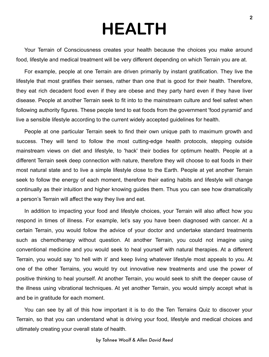### **HEALTH**

<span id="page-4-0"></span>Your Terrain of Consciousness creates your health because the choices you make around food, lifestyle and medical treatment will be very different depending on which Terrain you are at.

For example, people at one Terrain are driven primarily by instant gratification. They live the lifestyle that most gratifies their senses, rather than one that is good for their health. Therefore, they eat rich decadent food even if they are obese and they party hard even if they have liver disease. People at another Terrain seek to fit into to the mainstream culture and feel safest when following authority figures. These people tend to eat foods from the government 'food pyramid' and live a sensible lifestyle according to the current widely accepted guidelines for health.

People at one particular Terrain seek to find their own unique path to maximum growth and success. They will tend to follow the most cutting-edge health protocols, stepping outside mainstream views on diet and lifestyle, to 'hack' their bodies for optimum health. People at a different Terrain seek deep connection with nature, therefore they will choose to eat foods in their most natural state and to live a simple lifestyle close to the Earth. People at yet another Terrain seek to follow the energy of each moment, therefore their eating habits and lifestyle will change continually as their intuition and higher knowing guides them. Thus you can see how dramatically a person's Terrain will affect the way they live and eat.

In addition to impacting your food and lifestyle choices, your Terrain will also affect how you respond in times of illness. For example, let's say you have been diagnosed with cancer. At a certain Terrain, you would follow the advice of your doctor and undertake standard treatments such as chemotherapy without question. At another Terrain, you could not imagine using conventional medicine and you would seek to heal yourself with natural therapies. At a different Terrain, you would say 'to hell with it' and keep living whatever lifestyle most appeals to you. At one of the other Terrains, you would try out innovative new treatments and use the power of positive thinking to heal yourself. At another Terrain, you would seek to shift the deeper cause of the illness using vibrational techniques. At yet another Terrain, you would simply accept what is and be in gratitude for each moment.

You can see by all of this how important it is to do the Ten Terrains Quiz to discover your Terrain, so that you can understand what is driving your food, lifestyle and medical choices and ultimately creating your overall state of health.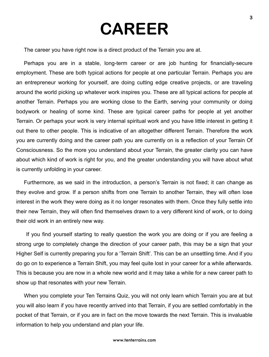### **CAREER**

<span id="page-5-0"></span>The career you have right now is a direct product of the Terrain you are at.

Perhaps you are in a stable, long-term career or are job hunting for financially-secure employment. These are both typical actions for people at one particular Terrain. Perhaps you are an entrepreneur working for yourself, are doing cutting edge creative projects, or are traveling around the world picking up whatever work inspires you. These are all typical actions for people at another Terrain. Perhaps you are working close to the Earth, serving your community or doing bodywork or healing of some kind. These are typical career paths for people at yet another Terrain. Or perhaps your work is very internal spiritual work and you have little interest in getting it out there to other people. This is indicative of an altogether different Terrain. Therefore the work you are currently doing and the career path you are currently on is a reflection of your Terrain Of Consciousness. So the more you understand about your Terrain, the greater clarity you can have about which kind of work is right for you, and the greater understanding you will have about what is currently unfolding in your career.

Furthermore, as we said in the introduction, a person's Terrain is not fixed; it can change as they evolve and grow. If a person shifts from one Terrain to another Terrain, they will often lose interest in the work they were doing as it no longer resonates with them. Once they fully settle into their new Terrain, they will often find themselves drawn to a very different kind of work, or to doing their old work in an entirely new way.

 If you find yourself starting to really question the work you are doing or if you are feeling a strong urge to completely change the direction of your career path, this may be a sign that your Higher Self is currently preparing you for a 'Terrain Shift'. This can be an unsettling time. And if you do go on to experience a Terrain Shift, you may feel quite lost in your career for a while afterwards. This is because you are now in a whole new world and it may take a while for a new career path to show up that resonates with your new Terrain.

When you complete your Ten Terrains Quiz, you will not only learn which Terrain you are at but you will also learn if you have recently arrived into that Terrain, if you are settled comfortably in the pocket of that Terrain, or if you are in fact on the move towards the next Terrain. This is invaluable information to help you understand and plan your life.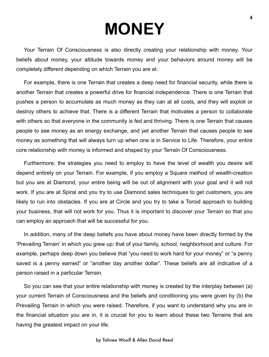<span id="page-6-0"></span>Your Terrain Of Consciousness is also directly creating your relationship with money. Your beliefs about money, your attitude towards money and your behaviors around money will be completely different depending on which Terrain you are at.

For example, there is one Terrain that creates a deep need for financial security, while there is another Terrain that creates a powerful drive for financial independence. There is one Terrain that pushes a person to accumulate as much money as they can at all costs, and they will exploit or destroy others to achieve that. There is a different Terrain that motivates a person to collaborate with others so that everyone in the community is fed and thriving. There is one Terrain that causes people to see money as an energy exchange, and yet another Terrain that causes people to see money as something that will always turn up when one is in Service to Life. Therefore, your entire core relationship with money is informed and shaped by your Terrain Of Consciousness.

Furthermore, the strategies you need to employ to have the level of wealth you desire will depend entirely on your Terrain. For example, if you employ a Square method of wealth-creation but you are at Diamond, your entire being will be out of alignment with your goal and it will not work. If you are at Spiral and you try to use Diamond sales techniques to get customers, you are likely to run into obstacles. If you are at Circle and you try to take a Toroid approach to building your business, that will not work for you. Thus it is important to discover your Terrain so that you can employ an approach that will be successful for you.

In addition, many of the deep beliefs you have about money have been directly formed by the 'Prevailing Terrain' in which you grew up; that of your family, school, neighborhood and culture. For example, perhaps deep down you believe that "you need to work hard for your money" or "a penny saved is a penny earned" or "another day another dollar". These beliefs are all indicative of a person raised in a particular Terrain.

So you can see that your entire relationship with money is created by the interplay between (a) your current Terrain of Consciousness and the beliefs and conditioning you were given by (b) the Prevailing Terrain in which you were raised. Therefore, if you want to understand why you are in the financial situation you are in, it is crucial for you to learn about these two Terrains that are having the greatest impact on your life.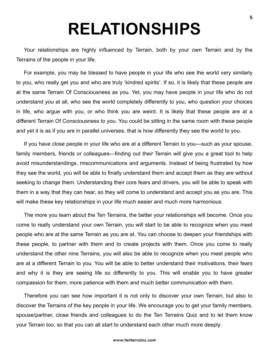## **RELATIONSHIPS**

<span id="page-7-0"></span>Your relationships are highly influenced by Terrain, both by your own Terrain and by the Terrains of the people in your life.

For example, you may be blessed to have people in your life who see the world very similarly to you, who really get you and who are truly 'kindred spirits'. If so, it is likely that these people are at the same Terrain Of Consciousness as you. Yet, you may have people in your life who do not understand you at all, who see the world completely differently to you, who question your choices in life, who argue with you, or who think you are weird. It is likely that these people are at a different Terrain Of Consciousness to you. You could be sitting in the same room with these people and yet it is as if you are in parallel universes, that is how differently they see the world to you.

If you have close people in your life who are at a different Terrain to you—such as your spouse, family members, friends or colleagues—finding out *their* Terrain will give you a great tool to help avoid misunderstandings, miscommunications and arguments. Instead of being frustrated by how they see the world, you will be able to finally understand them and accept them as they are without seeking to change them. Understanding their core fears and drivers, you will be able to speak with them in a way that they can hear, so they will come to understand and accept you as you are. This will make these key relationships in your life much easier and much more harmonious.

The more you learn about the Ten Terrains, the better your relationships will become. Once you come to really understand your own Terrain, you will start to be able to recognize when you meet people who are at the same Terrain as you are at. You can choose to deepen your friendships with these people, to partner with them and to create projects with them. Once you come to really understand the other nine Terrains, you will also be able to recognize when you meet people who are at a different Terrain to you. You will be able to better understand their motivations, their fears and why it is they are seeing life so differently to you. This will enable you to have greater compassion for them, more patience with them and much better communication with them.

Therefore you can see how important it is not only to discover your own Terrain, but also to discover the Terrains of the key people in your life. We encourage you to get your family members, spouse/partner, close friends and colleagues to do the Ten Terrains Quiz and to let them know your Terrain too, so that you can all start to understand each other much more deeply.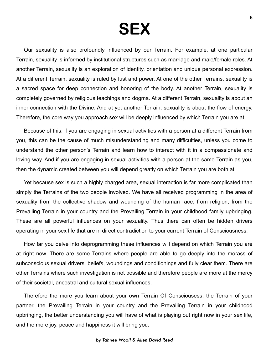### **SEX**

<span id="page-8-0"></span>Our sexuality is also profoundly influenced by our Terrain. For example, at one particular Terrain, sexuality is informed by institutional structures such as marriage and male/female roles. At another Terrain, sexuality is an exploration of identity, orientation and unique personal expression. At a different Terrain, sexuality is ruled by lust and power. At one of the other Terrains, sexuality is a sacred space for deep connection and honoring of the body. At another Terrain, sexuality is completely governed by religious teachings and dogma. At a different Terrain, sexuality is about an inner connection with the Divine. And at yet another Terrain, sexuality is about the flow of energy. Therefore, the core way you approach sex will be deeply influenced by which Terrain you are at.

Because of this, if you are engaging in sexual activities with a person at a different Terrain from you, this can be the cause of much misunderstanding and many difficulties, unless you come to understand the other person's Terrain and learn how to interact with it in a compassionate and loving way. And if you are engaging in sexual activities with a person at the same Terrain as you, then the dynamic created between you will depend greatly on which Terrain you are both at.

Yet because sex is such a highly charged area, sexual interaction is far more complicated than simply the Terrains of the two people involved. We have all received programming in the area of sexuality from the collective shadow and wounding of the human race, from religion, from the Prevailing Terrain in your country and the Prevailing Terrain in your childhood family upbringing. These are all powerful influences on your sexuality. Thus there can often be hidden drivers operating in your sex life that are in direct contradiction to your current Terrain of Consciousness.

How far you delve into deprogramming these influences will depend on which Terrain you are at right now. There are some Terrains where people are able to go deeply into the morass of subconscious sexual drivers, beliefs, woundings and conditionings and fully clear them. There are other Terrains where such investigation is not possible and therefore people are more at the mercy of their societal, ancestral and cultural sexual influences.

Therefore the more you learn about your own Terrain Of Consciousess, the Terrain of your partner, the Prevailing Terrain in your country and the Prevailing Terrain in your childhood upbringing, the better understanding you will have of what is playing out right now in your sex life, and the more joy, peace and happiness it will bring you.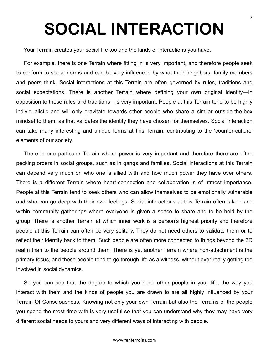# <span id="page-9-0"></span>**SOCIAL INTERACTION**

Your Terrain creates your social life too and the kinds of interactions you have.

For example, there is one Terrain where fitting in is very important, and therefore people seek to conform to social norms and can be very influenced by what their neighbors, family members and peers think. Social interactions at this Terrain are often governed by rules, traditions and social expectations. There is another Terrain where defining your own original identity—in opposition to these rules and traditions—is very important. People at this Terrain tend to be highly individualistic and will only gravitate towards other people who share a similar outside-the-box mindset to them, as that validates the identity they have chosen for themselves. Social interaction can take many interesting and unique forms at this Terrain, contributing to the 'counter-culture' elements of our society.

There is one particular Terrain where power is very important and therefore there are often pecking orders in social groups, such as in gangs and families. Social interactions at this Terrain can depend very much on who one is allied with and how much power they have over others. There is a different Terrain where heart-connection and collaboration is of utmost importance. People at this Terrain tend to seek others who can allow themselves to be emotionally vulnerable and who can go deep with their own feelings. Social interactions at this Terrain often take place within community gatherings where everyone is given a space to share and to be held by the group. There is another Terrain at which inner work is a person's highest priority and therefore people at this Terrain can often be very solitary. They do not need others to validate them or to reflect their identity back to them. Such people are often more connected to things beyond the 3D realm than to the people around them. There is yet another Terrain where non-attachment is the primary focus, and these people tend to go through life as a witness, without ever really getting too involved in social dynamics.

So you can see that the degree to which you need other people in your life, the way you interact with them and the kinds of people you are drawn to are all highly influenced by your Terrain Of Consciousness. Knowing not only your own Terrain but also the Terrains of the people you spend the most time with is very useful so that you can understand why they may have very different social needs to yours and very different ways of interacting with people.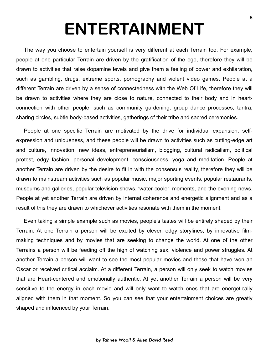# **ENTERTAINMENT**

<span id="page-10-0"></span>The way you choose to entertain yourself is very different at each Terrain too. For example, people at one particular Terrain are driven by the gratification of the ego, therefore they will be drawn to activities that raise dopamine levels and give them a feeling of power and exhilaration, such as gambling, drugs, extreme sports, pornography and violent video games. People at a different Terrain are driven by a sense of connectedness with the Web Of Life, therefore they will be drawn to activities where they are close to nature, connected to their body and in heartconnection with other people, such as community gardening, group dance processes, tantra, sharing circles, subtle body-based activities, gatherings of their tribe and sacred ceremonies.

People at one specific Terrain are motivated by the drive for individual expansion, selfexpression and uniqueness, and these people will be drawn to activities such as cutting-edge art and culture, innovation, new ideas, entrepreneurialism, blogging, cultural radicalism, political protest, edgy fashion, personal development, consciousness, yoga and meditation. People at another Terrain are driven by the desire to fit in with the consensus reality, therefore they will be drawn to mainstream activities such as popular music, major sporting events, popular restaurants, museums and galleries, popular television shows, 'water-cooler' moments, and the evening news. People at yet another Terrain are driven by internal coherence and energetic alignment and as a result of this they are drawn to whichever activities resonate with them in the moment.

Even taking a simple example such as movies, people's tastes will be entirely shaped by their Terrain. At one Terrain a person will be excited by clever, edgy storylines, by innovative filmmaking techniques and by movies that are seeking to change the world. At one of the other Terrains a person will be feeding off the high of watching sex, violence and power struggles. At another Terrain a person will want to see the most popular movies and those that have won an Oscar or received critical acclaim. At a different Terrain, a person will only seek to watch movies that are Heart-centered and emotionally authentic. At yet another Terrain a person will be very sensitive to the energy in each movie and will only want to watch ones that are energetically aligned with them in that moment. So you can see that your entertainment choices are greatly shaped and influenced by your Terrain.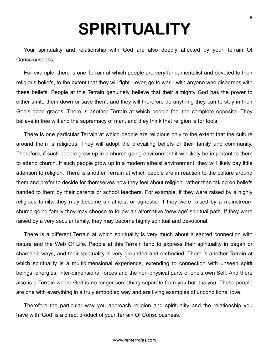### **SPIRITUALITY**

<span id="page-11-0"></span>Your spirituality and relationship with God are also deeply affected by your Terrain Of Consciousness.

For example, there is one Terrain at which people are very fundamentalist and devoted to their religious beliefs, to the extent that they will fight—even go to war—with anyone who disagrees with these beliefs. People at this Terrain genuinely believe that their almighty God has the power to either smite them down or save them, and they will therefore do anything they can to stay in their God's good graces. There is another Terrain at which people feel the complete opposite. They believe in free will and the supremacy of man, and they think that religion is for fools.

There is one particular Terrain at which people are religious only to the extent that the culture around them is religious. They will adopt the prevailing beliefs of their family and community. Therefore, if such people grow up in a church-going environment it will likely be important to them to attend church. If such people grow up in a modern atheist environment, they will likely pay little attention to religion. There is another Terrain at which people are in reaction to the culture around them and prefer to decide for themselves how they feel about religion, rather than taking on beliefs handed to them by their parents or school teachers. For example, if they were raised by a highly religious family, they may become an atheist or agnostic. If they were raised by a mainstream church-going family they may choose to follow an alternative 'new age' spiritual path. If they were raised by a very secular family, they may become highly spiritual and devotional.

There is a different Terrain at which spirituality is very much about a sacred connection with nature and the Web Of Life. People at this Terrain tend to express their spirituality in pagan or shamanic ways, and their spirituality is very grounded and embodied. There is another Terrain at which spirituality is a multidimensional experience, extending to connection with unseen spirit beings, energies, inter-dimensional forces and the non-physical parts of one's own Self. And there also is a Terrain where God is no longer something separate from you but it *is* you. These people are one with everything in a truly embodied way and are living examples of unconditional love.

Therefore the particular way you approach religion and spirituality and the relationship you have with 'God' is a direct product of your Terrain Of Consciousness.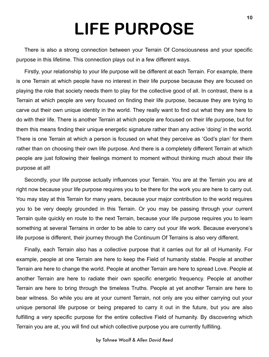# **LIFE PURPOSE**

<span id="page-12-0"></span>There is also a strong connection between your Terrain Of Consciousness and your specific purpose in this lifetime. This connection plays out in a few different ways.

Firstly, your relationship to your life purpose will be different at each Terrain. For example, there is one Terrain at which people have no interest in their life purpose because they are focused on playing the role that society needs them to play for the collective good of all. In contrast, there is a Terrain at which people are very focused on finding their life purpose, because they are trying to carve out their own unique identity in the world. They really want to find out what they are here to do with their life. There is another Terrain at which people are focused on their life purpose, but for them this means finding their unique energetic signature rather than any active 'doing' in the world. There is one Terrain at which a person is focused on what they perceive as 'God's plan' for them rather than on choosing their own life purpose. And there is a completely different Terrain at which people are just following their feelings moment to moment without thinking much about their life purpose at all!

Secondly, your life purpose actually influences your Terrain. You are at the Terrain you are at right now because your life purpose requires you to be there for the work you are here to carry out. You may stay at this Terrain for many years, because your major contribution to the world requires you to be very deeply grounded in this Terrain. Or you may be passing through your current Terrain quite quickly en route to the next Terrain, because your life purpose requires you to learn something at several Terrains in order to be able to carry out your life work. Because everyone's life purpose is different, their journey through the Continuum Of Terrains is also very different.

Finally, each Terrain also has a collective purpose that it carries out for all of Humanity. For example, people at one Terrain are here to keep the Field of humanity stable. People at another Terrain are here to change the world. People at another Terrain are here to spread Love. People at another Terrain are here to radiate their own specific energetic frequency. People at another Terrain are here to bring through the timeless Truths. People at yet another Terrain are here to bear witness. So while you are at your current Terrain, not only are you either carrying out your unique personal life purpose or being prepared to carry it out in the future, but you are also fulfilling a very specific purpose for the entire collective Field of humanity. By discovering which Terrain you are at, you will find out which collective purpose you are currently fulfilling.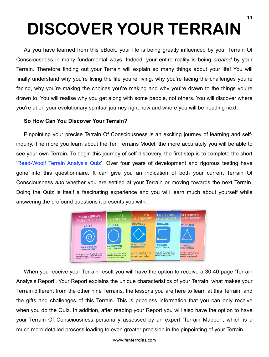# <span id="page-13-0"></span>**DISCOVER YOUR TERRAIN**

As you have learned from this eBook, your life is being greatly influenced by your Terrain Of Consciousness in many fundamental ways. Indeed, your entire reality is being *created* by your Terrain. Therefore finding out your Terrain will explain so many things about your life! You will finally understand why you're living the life you're living, why you're facing the challenges you're facing, why you're making the choices you're making and why you're drawn to the things you're drawn to. You will realise why you get along with some people, not others. You will discover where you're at on your evolutionary spiritual journey right now and where you will be heading next.

#### **So How Can You Discover Your Terrain?**

Pinpointing your precise Terrain Of Consciousness is an exciting journey of learning and selfinquiry. The more you learn about the Ten Terrains Model, the more accurately you will be able to see your own Terrain. To begin this journey of self-discovery, the first step is to complete the short '[Reed-Woolf Terrain Analysis Quiz'](http://www.tenterrains.com/discover-your-terrain.html). Over four years of development and rigorous testing have gone into this questionnaire. It can give you an indication of both your current Terrain Of Consciousness *and* whether you are settled at your Terrain or moving towards the next Terrain. Doing the Quiz is itself a fascinating experience and you will learn much about yourself while answering the profound questions it presents you with.



When you receive your Terrain result you will have the option to receive a 30-40 page 'Terrain Analysis Report'. Your Report explains the unique characteristics of your Terrain, what makes your Terrain different from the other nine Terrains, the lessons you are here to learn at this Terrain, and the gifts and challenges of this Terrain. This is priceless information that you can only receive when you do the Quiz. In addition, after reading your Report you will also have the option to have your Terrain Of Consciousness personally assessed by an expert 'Terrain Mapper', which is a much more detailed process leading to even greater precision in the pinpointing of your Terrain.